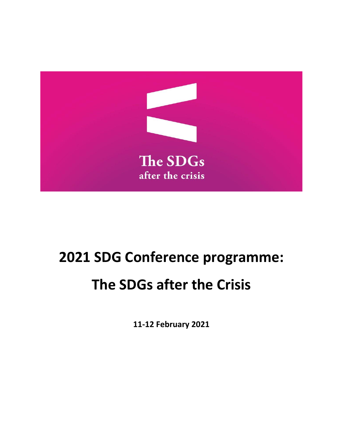

# **2021 SDG Conference programme:**

# **The SDGs after the Crisis**

**11-12 February 2021**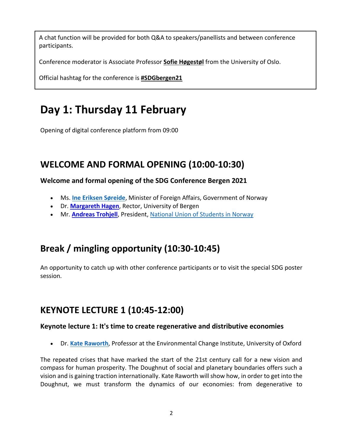A chat function will be provided for both Q&A to speakers/panellists and between conference participants.

Conference moderator is Associate Professor **[Sofie Høgestøl](https://www.jus.uio.no/nifs/english/people/aca/sofieah/index.html)** from the University of Oslo.

Official hashtag for the conference is **[#SDGbergen21](https://twitter.com/search?q=%23SDGbergen21&src=recent_search_click&f=live)**

## **Day 1: Thursday 11 February**

Opening of digital conference platform from 09:00

### **WELCOME AND FORMAL OPENING (10:00-10:30)**

#### **Welcome and formal opening of the SDG Conference Bergen 2021**

- Ms. **[Ine Eriksen Søreide](https://www.regjeringen.no/en/dep/ud/organisation/minister-of-foreign-affairs-ine-eriksen-soreide/id2575792/)**, Minister of Foreign Affairs, Government of Norway
- Dr. **[Margareth Hagen](https://www.uib.no/en/persons/Margareth.Hagen)**, Rector, University of Bergen
- Mr. **[Andreas Trohjell](https://no.linkedin.com/in/andreas-trohjell)**, President, [National Union of Students in Norway](https://www.student.no/english/)

### **Break / mingling opportunity (10:30-10:45)**

An opportunity to catch up with other conference participants or to visit the special SDG poster session.

### **KEYNOTE LECTURE 1 (10:45-12:00)**

#### **Keynote lecture 1: It's time to create regenerative and distributive economies**

• Dr. **[Kate Raworth](https://www.kateraworth.com/)**, Professor at the Environmental Change Institute, University of Oxford

The repeated crises that have marked the start of the 21st century call for a new vision and compass for human prosperity. The Doughnut of social and planetary boundaries offers such a vision and is gaining traction internationally. Kate Raworth will show how, in order to get into the Doughnut, we must transform the dynamics of our economies: from degenerative to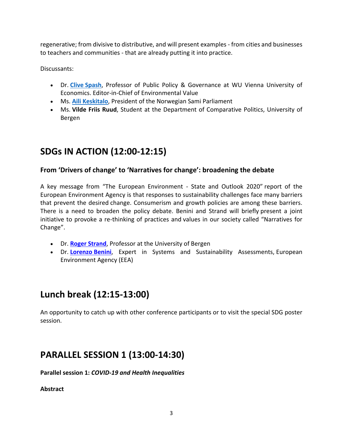regenerative; from divisive to distributive, and will present examples - from cities and businesses to teachers and communities - that are already putting it into practice.

Discussants:

- Dr. **Clive [Spash](http://www.clivespash.org/)**, Professor of Public Policy & Governance at WU Vienna University of Economics. Editor-in-Chief of Environmental Value
- Ms. **Aili [Keskitalo](https://en.wikipedia.org/wiki/Aili_Keskitalo)**, President of the Norwegian Sami Parliament
- Ms. **Vilde Friis Ruud**, Student at the Department of Comparative Politics, University of Bergen

### **SDGs IN ACTION (12:00-12:15)**

#### **From 'Drivers of change' to 'Narratives for change': broadening the debate**

A key message from "The European Environment - State and Outlook 2020" report of the European Environment Agency is that responses to sustainability challenges face many barriers that prevent the desired change. Consumerism and growth policies are among these barriers. There is a need to broaden the policy debate. Benini and Strand will briefly present a joint initiative to provoke a re-thinking of practices and values in our society called "Narratives for Change".

- Dr. **[Roger Strand](https://www.uib.no/en/persons/Roger.Strand)**, Professor at the University of Bergen
- Dr. **[Lorenzo](https://dk.linkedin.com/in/lorenzo-benini-8216671b) Benini**, Expert in Systems and Sustainability Assessments, European Environment Agency (EEA)

### **Lunch break (12:15-13:00)**

An opportunity to catch up with other conference participants or to visit the special SDG poster session.

### **PARALLEL SESSION 1 (13:00-14:30)**

**Parallel session 1:** *COVID-19 and Health Inequalities*

**Abstract**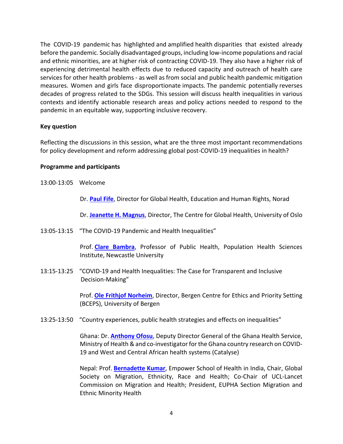The COVID-19 pandemic has highlighted and amplified health disparities that existed already before the pandemic. Socially disadvantaged groups, including low-income populations and racial and ethnic minorities, are at higher risk of contracting COVID-19. They also have a higher risk of experiencing detrimental health effects due to reduced capacity and outreach of health care services for other health problems - as well as from social and public health pandemic mitigation measures. Women and girls face disproportionate impacts. The pandemic potentially reverses decades of progress related to the SDGs. This session will discuss health inequalities in various contexts and identify actionable research areas and policy actions needed to respond to the pandemic in an equitable way, supporting inclusive recovery.

#### **Key question**

Reflecting the discussions in this session, what are the three most important recommendations for policy development and reform addressing global post-COVID-19 inequalities in health?

#### **Programme and participants**

13:00-13:05 Welcome

Dr. **[Paul Fife](https://www.norad.no/en/about-norad/employees/dept-global-health/fifepaul-richard/)**, Director for Global Health, Education and Human Rights, Norad

Dr. **[Jeanette H. Magnus](https://www.med.uio.no/english/people/adm/fac/management/jeanehm/index.html)**, Director, The Centre for Global Health, University of Oslo

13:05-13:15 "The COVID-19 Pandemic and Health Inequalities"

Prof. **[Clare Bambra](https://www.ncl.ac.uk/medical-sciences/people/profile/clarebambra.html)**, Professor of Public Health, Population Health Sciences Institute, Newcastle University

13:15-13:25 "COVID-19 and Health Inequalities: The Case for Transparent and Inclusive Decision-Making"

> Prof. **[Ole Frithjof Norheim](https://www.uib.no/en/persons/Ole.Frithjof.Norheim)**, Director, Bergen Centre for Ethics and Priority Setting (BCEPS), University of Bergen

13:25-13:50 "Country experiences, public health strategies and effects on inequalities"

Ghana: Dr. **[Anthony Ofosu](https://ghanahealthservice.org/division-scat.php?ghsdid=8&ghsscid=53)**, Deputy Director General of the Ghana Health Service, Ministry of Health & and co-investigator for the Ghana country research on COVID-19 and West and Central African health systems (Catalyse)

Nepal: Prof. **[Bernadette Kumar](https://www.empowerschoolofhealth.org/our-team)**, Empower School of Health in India, Chair, Global Society on Migration, Ethnicity, Race and Health; Co-Chair of UCL-Lancet Commission on Migration and Health; President, EUPHA Section Migration and Ethnic Minority Health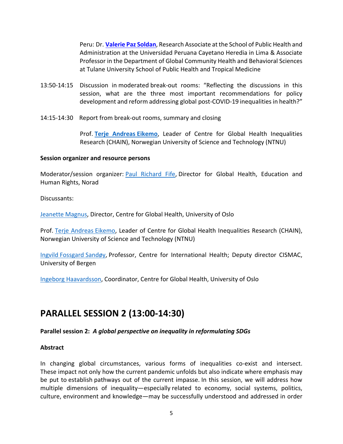Peru: Dr. **[Valerie Paz Soldan](https://sph.tulane.edu/gchb/valerie-paz-soldan)**, Research Associate at the School of Public Health and Administration at the Universidad Peruana Cayetano Heredia in Lima & Associate Professor in the Department of Global Community Health and Behavioral Sciences at Tulane University School of Public Health and Tropical Medicine

- 13:50-14:15 Discussion in moderated break-out rooms: "Reflecting the discussions in this session, what are the three most important recommendations for policy development and reform addressing global post-COVID-19 inequalities in health?"
- 14:15-14:30 Report from break-out rooms, summary and closing

Prof. **[Terje Andreas](https://www.ntnu.no/ansatte/terje.eikemo) Eikemo**, Leader of Centre for Global Health Inequalities Research (CHAIN), Norwegian University of Science and Technology (NTNU)

#### **Session organizer and resource persons**

Moderator/session organizer: [Paul Richard Fife,](https://www.norad.no/en/about-norad/employees/dept-global-health/fifepaul-richard/) Director for Global Health, Education and Human Rights, Norad

Discussants:

[Jeanette Magnus](https://www.med.uio.no/english/people/adm/fac/management/jeanehm/index.html), Director, Centre for Global Health, University of Oslo

Prof. [Terje Andreas](https://www.ntnu.edu/employees/terje.eikemo) Eikemo, Leader of Centre for Global Health Inequalities Research (CHAIN), Norwegian University of Science and Technology (NTNU)

Ingvild [Fossgard](https://www.uib.no/en/persons/Ingvild.Fossgard.Sand%C3%B8y) Sandøy, Professor, Centre for International Health; Deputy director CISMAC, University of Bergen

Ingeborg [Haavardsson,](https://www.med.uio.no/helsam/personer/adm/ingebkh/) Coordinator, Centre for Global Health, University of Oslo

### **PARALLEL SESSION 2 (13:00-14:30)**

#### **Parallel session 2:** *A global perspective on inequality in reformulating SDGs*

#### **Abstract**

In changing global circumstances, various forms of inequalities co-exist and intersect. These impact not only how the current pandemic unfolds but also indicate where emphasis may be put to establish pathways out of the current impasse. In this session, we will address how multiple dimensions of inequality—especially related to economy, social systems, politics, culture, environment and knowledge—may be successfully understood and addressed in order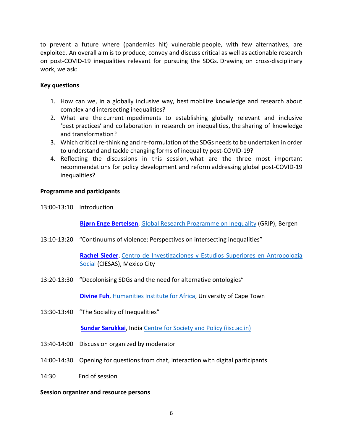to prevent a future where (pandemics hit) vulnerable people, with few alternatives, are exploited. An overall aim is to produce, convey and discuss critical as well as actionable research on post-COVID-19 inequalities relevant for pursuing the SDGs. Drawing on cross-disciplinary work, we ask: 

#### **Key questions**

- 1. How can we, in a globally inclusive way, best mobilize knowledge and research about complex and intersecting inequalities?
- 2. What are the current impediments to establishing globally relevant and inclusive 'best practices' and collaboration in research on inequalities, the sharing of knowledge and transformation?
- 3. Which critical re-thinking and re-formulation of the SDGs needs to be undertaken in order to understand and tackle changing forms of inequality post-COVID-19?
- 4. Reflecting the discussions in this session, what are the three most important recommendations for policy development and reform addressing global post-COVID-19 inequalities?

#### **Programme and participants**

13:00-13:10 Introduction

**[Bjørn Enge Bertelsen](https://gripinequality.org/employee/bjorn-enge-bertelsen/)**, [Global Research Programme on Inequality](https://gripinequality.org/) (GRIP), Bergen

13:10-13:20 "Continuums of violence: Perspectives on intersecting inequalities"

**[Rachel Sieder](https://www.rachelsieder.com/)**, [Centro de Investigaciones y Estudios Superiores en Antropología](https://www.ciesas.edu.mx/)  [Social](https://www.ciesas.edu.mx/) (CIESAS), Mexico City

13:20-13:30 "Decolonising SDGs and the need for alternative ontologies"

**[Divine Fuh](http://www.humanities.uct.ac.za/hum/research/groupings/huma/staff)**, [Humanities Institute for Africa,](http://www.huma.uct.ac.za/) University of Cape Town

13:30-13:40 "The Sociality of Inequalities"

**[Sundar Sarukkai](https://www.barefootphilosophers.com/who-are-we/)**, India [Centre for Society and Policy \(iisc.ac.in\)](https://csp.iisc.ac.in/)

- 13:40-14:00 Discussion organized by moderator
- 14:00-14:30 Opening for questions from chat, interaction with digital participants
- 14:30 End of session

#### **Session organizer and resource persons**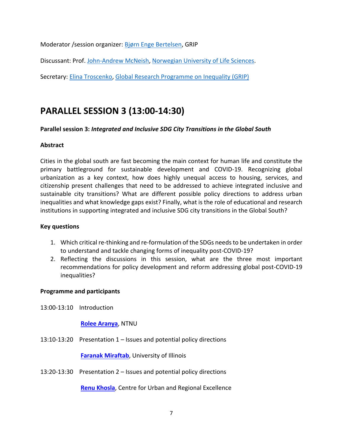Moderator /session organizer: [Bjørn Enge Bertelsen,](https://gripinequality.org/employee/bjorn-enge-bertelsen/) GRIP

Discussant: Prof. [John-Andrew McNeish,](https://www.nmbu.no/emp/john.mcneish) [Norwegian University of Life Sciences.](https://www.nmbu.no/en)

Secretary: [Elina Troscenko,](https://gripinequality.org/employee/elina-troscenko/) [Global Research Programme on Inequality \(GRIP\)](https://gripinequality.org/)

### **PARALLEL SESSION 3 (13:00-14:30)**

#### **Parallel session 3:** *Integrated and Inclusive SDG City Transitions in the Global South*

#### **Abstract**

Cities in the global south are fast becoming the main context for human life and constitute the primary battleground for sustainable development and COVID-19. Recognizing global urbanization as a key context, how does highly unequal access to housing, services, and citizenship present challenges that need to be addressed to achieve integrated inclusive and sustainable city transitions? What are different possible policy directions to address urban inequalities and what knowledge gaps exist? Finally, what is the role of educational and research institutions in supporting integrated and inclusive SDG city transitions in the Global South?

#### **Key questions**

- 1. Which critical re-thinking and re-formulation of the SDGs needs to be undertaken in order to understand and tackle changing forms of inequality post-COVID-19?
- 2. Reflecting the discussions in this session, what are the three most important recommendations for policy development and reform addressing global post-COVID-19 inequalities?

#### **Programme and participants**

13:00-13:10 Introduction

**[Rolee Aranya](https://www.ntnu.edu/employees/rolee.aranya)**, NTNU

13:10-13:20 Presentation 1 – Issues and potential policy directions

**Faranak [Miraftab](https://urban.illinois.edu/people/profiles/faranak-miraftab/)**, University of Illinois

13:20-13:30 Presentation 2 – Issues and potential policy directions

**[Renu Khosla](https://cureindia.org/page3.html)**, Centre for Urban and Regional Excellence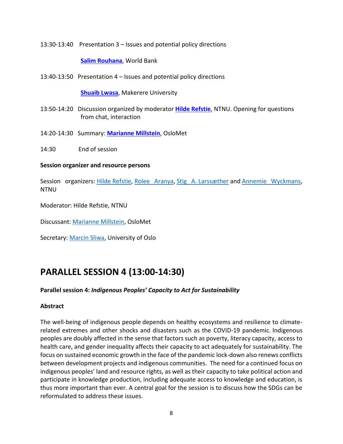13:30-13:40 Presentation 3 – Issues and potential policy directions

#### **[Salim Rouhana](https://blogs.worldbank.org/team/salim-rouhana)**, World Bank

13:40-13:50 Presentation 4 – Issues and potential policy directions

**[Shuaib](https://www.wri.org/profile/shuaib-lwasa) Lwasa**, Makerere University

- 13:50-14:20 Discussion organized by moderator **Hilde [Refstie](https://www.ntnu.edu/employees/hilde.refstie)**, NTNU. Opening for questions from chat, interaction
- 14:20-14:30 Summary: **[Marianne Millstein](https://www.oslomet.no/en/about/employee/marmi/)**, OsloMet
- 14:30 End of session

#### **Session organizer and resource persons**

Session organizers: Hilde [Refstie,](https://www.ntnu.edu/employees/hilde.refstie) [Rolee Aranya,](https://www.ntnu.edu/employees/rolee.aranya) Stig A. [Larssæther](https://www.ntnu.edu/employees/stig.larssather) and [Annemie Wyckmans,](https://www.ntnu.edu/employees/annemie.wyckmans) NTNU

Moderator: Hilde Refstie, NTNU

Discussant: [Marianne Millstein,](https://www.oslomet.no/en/about/employee/marmi/) OsloMet

Secretary: [Marcin Sliwa,](https://www.sv.uio.no/iss/english/people/aca/marcinsl/) University of Oslo

### **PARALLEL SESSION 4 (13:00-14:30)**

#### **Parallel session 4:** *Indigenous Peoples' Capacity to Act for Sustainability*

#### **Abstract**

The well-being of indigenous people depends on healthy ecosystems and resilience to climaterelated extremes and other shocks and disasters such as the COVID-19 pandemic. Indigenous peoples are doubly affected in the sense that factors such as poverty, literacy capacity, access to health care, and gender inequality affects their capacity to act adequately for sustainability. The focus on sustained economic growth in the face of the pandemic lock-down also renews conflicts between development projects and indigenous communities. The need for a continued focus on indigenous peoples' land and resource rights, as well as their capacity to take political action and participate in knowledge production, including adequate access to knowledge and education, is thus more important than ever. A central goal for the session is to discuss how the SDGs can be reformulated to address these issues.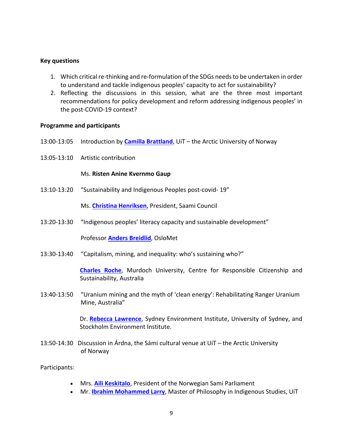#### **Key questions**

- 1. Which critical re-thinking and re-formulation of the SDGs needs to be undertaken in order to understand and tackle indigenous peoples' capacity to act for sustainability?
- 2. Reflecting the discussions in this session, what are the three most important recommendations for policy development and reform addressing indigenous peoples' in the post-COVID-19 context?

#### **Programme and participants**

- 13:00-13:05 Introduction by **Camilla [Brattland](https://en.uit.no/ansatte/person?p_document_id=93823)**, UiT the Arctic University of Norway
- 13:05-13:10 Artistic contribution

#### Ms. **Risten Anine Kvernmo Gaup**

13:10-13:20 "Sustainability and Indigenous Peoples post-covid- 19"

Ms. **[Christina Henriksen](https://sametinget4.staging.seeds.no/Samedikke-birra/Arkiv-perioden-2016-2017/Samedikkeajrrasa/Christina-Henriksen)**, President, Saami Council

13:20-13:30 "Indigenous peoples' literacy capacity and sustainable development"

Professor **Anders [Breidlid](https://www.oslomet.no/en/about/employee/andersb/)**, OsloMet

13:30-13:40 "Capitalism, mining, and inequality: who's sustaining who?"

**[Charles Roche](http://charlesroche.co/about/)**, Murdoch University, Centre for Responsible Citizenship and Sustainability, Australia

13:40-13:50 "Uranium mining and the myth of 'clean energy': Rehabilitating Ranger Uranium Mine, Australia"

> Dr. **[Rebecca Lawrence](https://www.statsvet.su.se/forskning/v%C3%A5ra-forskare/rebecca-lawrence/dr-rebecca-lawrence-1.165432)**, Sydney Environment Institute, University of Sydney, and Stockholm Environment Institute.

13:50-14:30 Discussion in Árdna, the Sámi cultural venue at UiT – the Arctic University of Norway

Participants:

- Mrs. **[Aili Keskitalo](https://en.wikipedia.org/wiki/Aili_Keskitalo)**, President of the Norwegian Sami Parliament
- Mr. **[Ibrahim Mohammed Larry](https://en.uit.no/ansatte/person?p_document_id=534087)**, Master of Philosophy in Indigenous Studies, UiT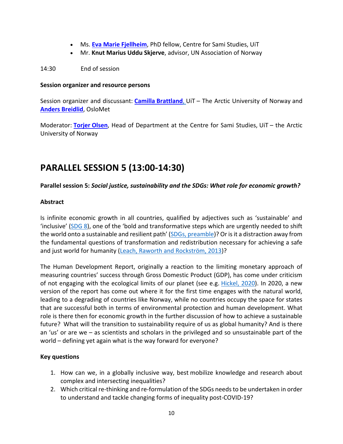- Ms. **[Eva Marie Fjellheim](https://en.uit.no/ansatte/person?p_document_id=589035)**, PhD fellow, Centre for Sami Studies, UiT
- Mr. **Knut Marius Uddu Skjerve**, advisor, UN Association of Norway

14:30 End of session

#### **Session organizer and resource persons**

Session organizer and discussant: **Camilla [Brattland](https://en.uit.no/ansatte/person?p_document_id=93823)**, UiT – The Arctic University of Norway and **Anders [Breidlid](https://www.oslomet.no/en/about/employee/andersb/)**, OsloMet

Moderator: **[Torjer](https://en.uit.no/ansatte/person?p_document_id=43803) Olsen**, Head of Department at the Centre for Sami Studies, UiT – the Arctic University of Norway

### **PARALLEL SESSION 5 (13:00-14:30)**

#### **Parallel session 5:** *Social justice, sustainability and the SDGs: What role for economic growth?*

#### **Abstract**

Is infinite economic growth in all countries, qualified by adjectives such as 'sustainable' and 'inclusive' [\(SDG 8\)](https://sdgs.un.org/goals/goal8), one of the 'bold and transformative steps which are urgently needed to shift the world onto a sustainable and resilient path' [\(SDGs, preamble\)](https://sdgs.un.org/2030agenda)? Or is it a distraction away from the fundamental questions of transformation and redistribution necessary for achieving a safe and just world for humanity [\(Leach, Raworth and](https://steps-centre.org/blog/wssr/) Rockström, 2013)?

The Human Development Report, originally a reaction to the limiting monetary approach of measuring countries' success through Gross Domestic Product (GDP), has come under criticism of not engaging with the ecological limits of our planet (see e.g. [Hickel, 2020\)](https://www.sciencedirect.com/science/article/abs/pii/S0921800919303386). In 2020, a new version of the report has come out where it for the first time engages with the natural world, leading to a degrading of countries like Norway, while no countries occupy the space for states that are successful both in terms of environmental protection and human development. What role is there then for economic growth in the further discussion of how to achieve a sustainable future? What will the transition to sustainability require of us as global humanity? And is there an 'us' or are we – as scientists and scholars in the privileged and so unsustainable part of the world – defining yet again what is the way forward for everyone?

#### **Key questions**

- 1. How can we, in a globally inclusive way, best mobilize knowledge and research about complex and intersecting inequalities?
- 2. Which critical re-thinking and re-formulation of the SDGs needs to be undertaken in order to understand and tackle changing forms of inequality post-COVID-19?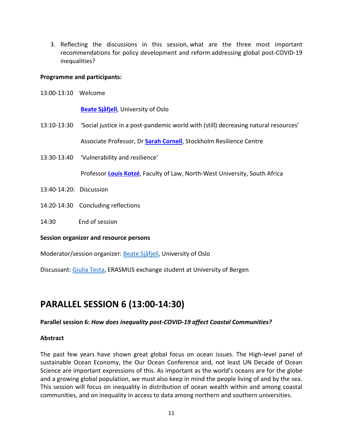3. Reflecting the discussions in this session, what are the three most important recommendations for policy development and reform addressing global post-COVID-19 inequalities? 

#### **Programme and participants:**

13:00-13:10 Welcome

**Beate [Sjåfjell](https://www.jus.uio.no/ifp/english/people/aca/beatesj/index.html)**, University of Oslo

13:10-13:30 'Social justice in a post-pandemic world with (still) decreasing natural resources'

Associate Professor, Dr **[Sarah Cornell](https://www.stockholmresilience.org/meet-our-team/staff/2011-11-01-cornell.html)**, Stockholm Resilience Centre

13:30-13:40 'Vulnerability and resilience'

Professor **Louis [Kotzé](http://law.nwu.ac.za/louis-kotze)**, Faculty of Law, North-West University, South Africa

- 13:40-14:20: Discussion
- 14:20-14:30 Concluding reflections
- 14:30 End of session

#### **Session organizer and resource persons**

Moderator/session organizer: Beate [Sjåfjell,](https://www.jus.uio.no/ifp/english/people/aca/beatesj/index.html) University of Oslo

Discussant: [Giulia Testa,](https://www.linkedin.com/in/giulia-testa182/) ERASMUS exchange student at University of Bergen

### **PARALLEL SESSION 6 (13:00-14:30)**

#### **Parallel session 6:** *How does inequality post-COVID-19 affect Coastal Communities?*

#### **Abstract**

The past few years have shown great global focus on ocean issues. The High-level panel of sustainable Ocean Economy, the Our Ocean Conference and, not least UN Decade of Ocean Science are important expressions of this. As important as the world's oceans are for the globe and a growing global population, we must also keep in mind the people living of and by the sea. This session will focus on inequality in distribution of ocean wealth within and among coastal communities, and on inequality in access to data among northern and southern universities.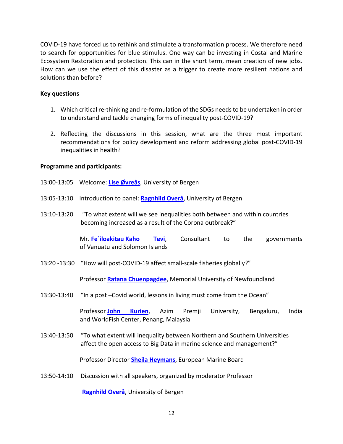COVID-19 have forced us to rethink and stimulate a transformation process. We therefore need to search for opportunities for blue stimulus. One way can be investing in Costal and Marine Ecosystem Restoration and protection. This can in the short term, mean creation of new jobs. How can we use the effect of this disaster as a trigger to create more resilient nations and solutions than before?

#### **Key questions**

- 1. Which critical re-thinking and re-formulation of the SDGs needs to be undertaken in order to understand and tackle changing forms of inequality post-COVID-19?
- 2. Reflecting the discussions in this session, what are the three most important recommendations for policy development and reform addressing global post-COVID-19 inequalities in health?

#### **Programme and participants:**

- 13:00-13:05 Welcome: **Lise [Øvreås](https://www.uib.no/en/persons/Lise.%C3%98vre%C3%A5s)**, University of Bergen
- 13:05-13:10 Introduction to panel: **[Ragnhild Overå](https://www.uib.no/en/persons/Ragnhild.Over%C3%A5)**, University of Bergen
- 13:10-13:20 "To what extent will we see inequalities both between and within countries becoming increased as a result of the Corona outbreak?"

Mr. **Fe`iloakitau [Kaho Tevi](https://devpolicy.org/green-growth-activism-pacific-regionalism-in-conversation-with-feiloakitau-kaho-tevi-20160222/)**, Consultant to the governments of Vanuatu and Solomon Islands

13:20 -13:30 "How will post-COVID-19 affect small-scale fisheries globally?"

Professor **Ratana [Chuenpagdee](https://www.mun.ca/geog/people/faculty/rchuenpagdee.php)**, Memorial University of Newfoundland

13:30-13:40 "In a post –Covid world, lessons in living must come from the Ocean"

Professor **[John Kurien](https://azimpremjiuniversity.edu.in/SitePages/john-kurien.aspx)**, Azim Premji University, Bengaluru, India and WorldFish Center, Penang, Malaysia

13:40-13:50 "To what extent will inequality between Northern and Southern Universities affect the open access to Big Data in marine science and management?"

Professor Director **[Sheila Heymans](https://www.sams.ac.uk/people/fellows/heymans-professor-sheila/)**, European Marine Board

13:50-14:10 Discussion with all speakers, organized by moderator Professor

**[Ragnhild Overå](https://www.uib.no/en/persons/Ragnhild.Over%C3%A5)**, University of Bergen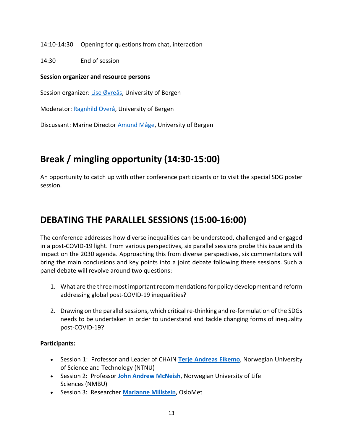14:10-14:30 Opening for questions from chat, interaction

14:30 End of session

#### **Session organizer and resource persons**

Session organizer: Lise [Øvreås,](https://www.uib.no/en/persons/Lise.%C3%98vre%C3%A5s) University of Bergen

Moderator: [Ragnhild Overå,](https://www.uib.no/en/persons/Ragnhild.Over%C3%A5) University of Bergen

Discussant: Marine Director [Amund Måge,](https://www.uib.no/en/persons/Amund.Maage) University of Bergen

### **Break / mingling opportunity (14:30-15:00)**

An opportunity to catch up with other conference participants or to visit the special SDG poster session.

### **DEBATING THE PARALLEL SESSIONS (15:00-16:00)**

The conference addresses how diverse inequalities can be understood, challenged and engaged in a post-COVID-19 light. From various perspectives, six parallel sessions probe this issue and its impact on the 2030 agenda. Approaching this from diverse perspectives, six commentators will bring the main conclusions and key points into a joint debate following these sessions. Such a panel debate will revolve around two questions:

- 1. What are the three most important recommendations for policy development and reform addressing global post-COVID-19 inequalities?
- 2. Drawing on the parallel sessions, which critical re-thinking and re-formulation of the SDGs needs to be undertaken in order to understand and tackle changing forms of inequality post-COVID-19?

#### **Participants:**

- Session 1: Professor and Leader of CHAIN **[Terje Andreas Eikemo](https://www.ntnu.edu/employees/terje.eikemo)**, Norwegian University of Science and Technology (NTNU)
- Session 2: Professor **John [Andrew](https://www.nmbu.no/emp/john.mcneish) [McNeish](https://www.nmbu.no/emp/john.mcneish)**, Norwegian University of Life Sciences (NMBU)
- Session 3: Researcher **[Marianne Millstein](https://www.oslomet.no/en/about/employee/marmi/)**, OsloMet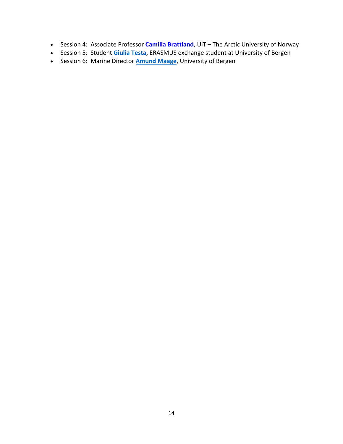- Session 4: Associate Professor **[Camilla Brattland](https://en.uit.no/ansatte/person?p_document_id=93823)**, UiT The Arctic University of Norway
- Session 5: Student **[Giulia Testa](https://www.linkedin.com/in/giulia-testa-51a0521b0/?originalSubdomain=fi)**, ERASMUS exchange student at University of Bergen
- Session 6: Marine Director **[Amund Maage](https://www.uib.no/en/persons/Amund.Maage)**, University of Bergen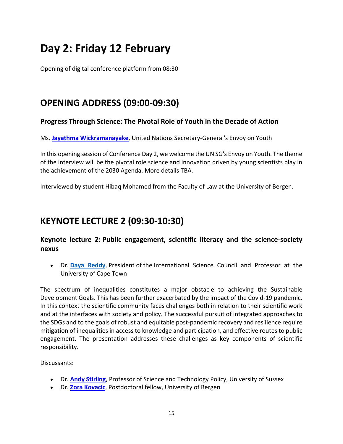# **Day 2: Friday 12 February**

Opening of digital conference platform from 08:30

### **OPENING ADDRESS (09:00-09:30)**

#### **Progress Through Science: The Pivotal Role of Youth in the Decade of Action**

Ms. **[Jayathma Wickramanayake](https://www.un.org/youthenvoy/about/)**, United Nations Secretary-General's Envoy on Youth

In this opening session of Conference Day 2, we welcome the UN SG's Envoy on Youth. The theme of the interview will be the pivotal role science and innovation driven by young scientists play in the achievement of the 2030 Agenda. More details TBA.

Interviewed by student Hibaq Mohamed from the Faculty of Law at the University of Bergen.

### **KEYNOTE LECTURE 2 (09:30-10:30)**

#### **Keynote lecture 2: Public engagement, scientific literacy and the science-society nexus**

• Dr. **[Daya Reddy](https://council.science/profile/daya-reddy/)**, President of the International Science Council and Professor at the University of Cape Town

The spectrum of inequalities constitutes a major obstacle to achieving the Sustainable Development Goals. This has been further exacerbated by the impact of the Covid-19 pandemic. In this context the scientific community faces challenges both in relation to their scientific work and at the interfaces with society and policy. The successful pursuit of integrated approaches to the SDGs and to the goals of robust and equitable post-pandemic recovery and resilience require mitigation of inequalities in access to knowledge and participation, and effective routes to public engagement. The presentation addresses these challenges as key components of scientific responsibility.

Discussants:

- Dr. **[Andy Stirling](https://profiles.sussex.ac.uk/p7513-andrew-stirling)**, Professor of Science and Technology Policy, University of Sussex
- Dr. **[Zora](https://www.uib.no/en/persons/Zora.Kovacic) [Kovacic](https://www.uib.no/en/persons/Zora.Kovacic)**, Postdoctoral fellow, University of Bergen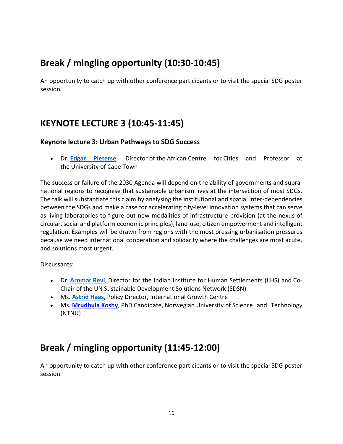### **Break / mingling opportunity (10:30-10:45)**

An opportunity to catch up with other conference participants or to visit the special SDG poster session.

### **KEYNOTE LECTURE 3 (10:45-11:45)**

#### **Keynote lecture 3: Urban Pathways to SDG Success**

• Dr. **[Edgar Pieterse](https://www.africancentreforcities.net/people/edgar-pieterse/)**, Director of the African Centre for Cities and Professor at the University of Cape Town

The success or failure of the 2030 Agenda will depend on the ability of governments and supranational regions to recognise that sustainable urbanism lives at the intersection of most SDGs. The talk will substantiate this claim by analysing the institutional and spatial inter-dependencies between the SDGs and make a case for accelerating city-level innovation systems that can serve as living laboratories to figure out new modalities of infrastructure provision (at the nexus of circular, social and platform economic principles), land-use, citizen empowerment and intelligent regulation. Examples will be drawn from regions with the most pressing urbanisation pressures because we need international cooperation and solidarity where the challenges are most acute, and solutions most urgent.

Discussants:

- Dr. **[Aromar](https://iihs.co.in/about/board-founding-members/aromar-revi/) Revi**, Director for the Indian Institute for Human Settlements (IIHS) and Co-Chair of the UN Sustainable Development Solutions Network (SDSN)
- Ms. **[Astrid Haas](https://www.theigc.org/person/astrid-haas/)**, Policy Director, International Growth Centre
- Ms. **[Mrudhula](https://www.ntnu.edu/employees/mrudhula.koshy) Koshy**, PhD Candidate, Norwegian University of Science and Technology (NTNU)

### **Break / mingling opportunity (11:45-12:00)**

An opportunity to catch up with other conference participants or to visit the special SDG poster session.